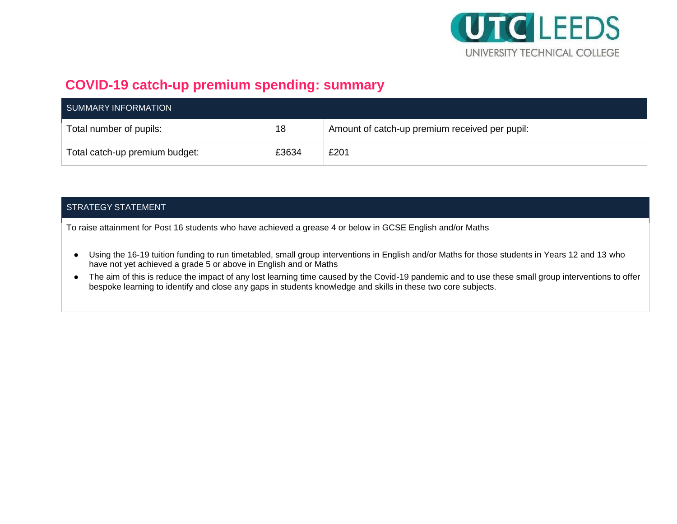

## **COVID-19 catch-up premium spending: summary**

| SUMMARY INFORMATION            |       |                                                |  |  |  |
|--------------------------------|-------|------------------------------------------------|--|--|--|
| Total number of pupils:        | 18    | Amount of catch-up premium received per pupil: |  |  |  |
| Total catch-up premium budget: | £3634 | £201                                           |  |  |  |

## STRATEGY STATEMENT

To raise attainment for Post 16 students who have achieved a grease 4 or below in GCSE English and/or Maths

- Using the 16-19 tuition funding to run timetabled, small group interventions in English and/or Maths for those students in Years 12 and 13 who have not yet achieved a grade 5 or above in English and or Maths
- The aim of this is reduce the impact of any lost learning time caused by the Covid-19 pandemic and to use these small group interventions to offer bespoke learning to identify and close any gaps in students knowledge and skills in these two core subjects.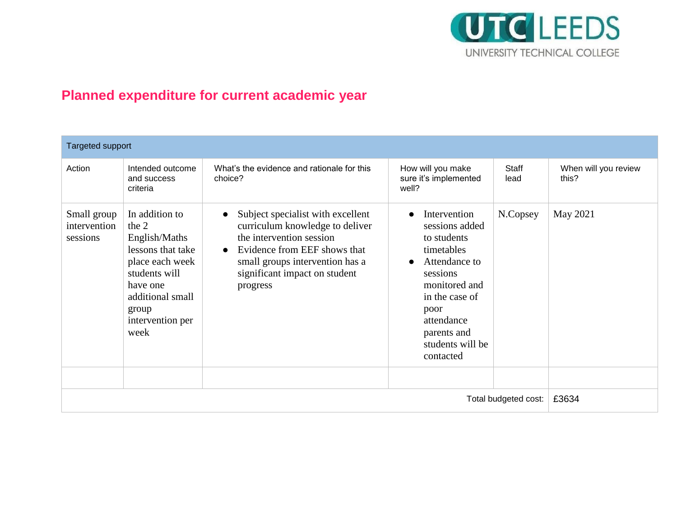

## **Planned expenditure for current academic year**

| <b>Targeted support</b>                 |                                                                                                                                                                          |                                                                                                                                                                                                                                            |                                                                                                                                                                                                   |                      |                               |  |  |
|-----------------------------------------|--------------------------------------------------------------------------------------------------------------------------------------------------------------------------|--------------------------------------------------------------------------------------------------------------------------------------------------------------------------------------------------------------------------------------------|---------------------------------------------------------------------------------------------------------------------------------------------------------------------------------------------------|----------------------|-------------------------------|--|--|
| Action                                  | Intended outcome<br>and success<br>criteria                                                                                                                              | What's the evidence and rationale for this<br>choice?                                                                                                                                                                                      | How will you make<br>sure it's implemented<br>well?                                                                                                                                               | <b>Staff</b><br>lead | When will you review<br>this? |  |  |
| Small group<br>intervention<br>sessions | In addition to<br>the $2$<br>English/Maths<br>lessons that take<br>place each week<br>students will<br>have one<br>additional small<br>group<br>intervention per<br>week | Subject specialist with excellent<br>$\bullet$<br>curriculum knowledge to deliver<br>the intervention session<br>Evidence from EEF shows that<br>$\bullet$<br>small groups intervention has a<br>significant impact on student<br>progress | Intervention<br>sessions added<br>to students<br>timetables<br>Attendance to<br>sessions<br>monitored and<br>in the case of<br>poor<br>attendance<br>parents and<br>students will be<br>contacted | N.Copsey             | May 2021                      |  |  |
|                                         | £3634                                                                                                                                                                    |                                                                                                                                                                                                                                            |                                                                                                                                                                                                   |                      |                               |  |  |